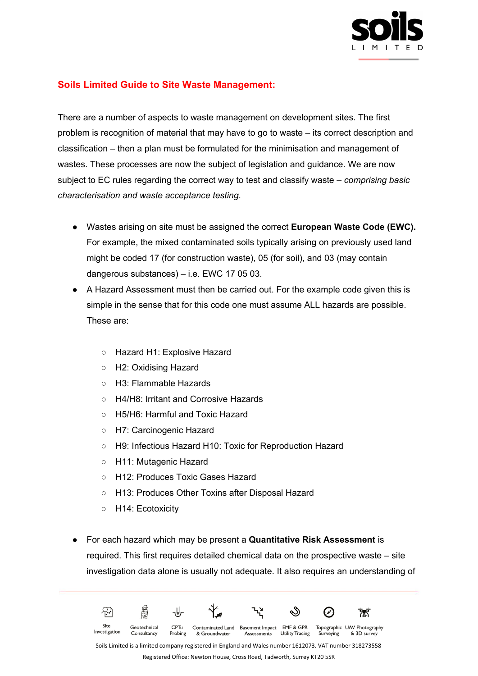

## **Soils Limited Guide to Site Waste Management:**

There are a number of aspects to waste management on development sites. The first problem is recognition of material that may have to go to waste – its correct description and classification – then a plan must be formulated for the minimisation and management of wastes. These processes are now the subject of legislation and guidance. We are now subject to EC rules regarding the correct way to test and classify waste – *comprising basic characterisation and waste acceptance testing.*

- Wastes arising on site must be assigned the correct **European Waste Code (EWC).** For example, the mixed contaminated soils typically arising on previously used land might be coded 17 (for construction waste), 05 (for soil), and 03 (may contain dangerous substances) – i.e. EWC 17 05 03.
- A Hazard Assessment must then be carried out. For the example code given this is simple in the sense that for this code one must assume ALL hazards are possible. These are:
	- Hazard H1: Explosive Hazard
	- H2: Oxidising Hazard
	- H3: Flammable Hazards
	- H4/H8: Irritant and Corrosive Hazards
	- H5/H6: Harmful and Toxic Hazard
	- H7: Carcinogenic Hazard
	- H9: Infectious Hazard H10: Toxic for Reproduction Hazard
	- H11: Mutagenic Hazard
	- H12: Produces Toxic Gases Hazard
	- H13: Produces Other Toxins after Disposal Hazard
	- H14: Ecotoxicity
- For each hazard which may be present a **Quantitative Risk Assessment** is required. This first requires detailed chemical data on the prospective waste – site investigation data alone is usually not adequate. It also requires an understanding of